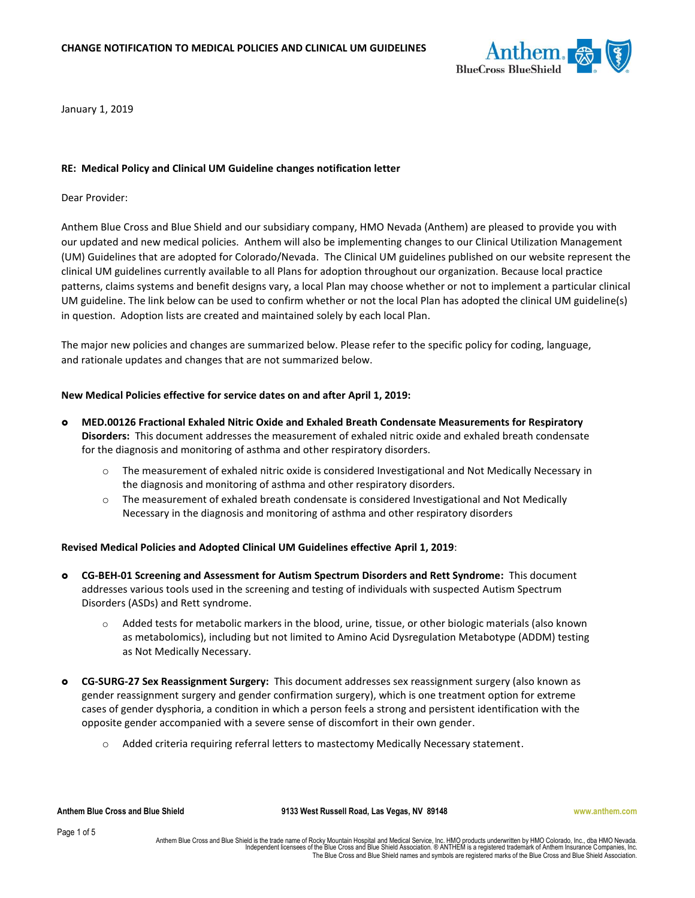

January 1, 2019

## **RE: Medical Policy and Clinical UM Guideline changes notification letter**

Dear Provider:

Anthem Blue Cross and Blue Shield and our subsidiary company, HMO Nevada (Anthem) are pleased to provide you with our updated and new medical policies. Anthem will also be implementing changes to our Clinical Utilization Management (UM) Guidelines that are adopted for Colorado/Nevada. The Clinical UM guidelines published on our website represent the clinical UM guidelines currently available to all Plans for adoption throughout our organization. Because local practice patterns, claims systems and benefit designs vary, a local Plan may choose whether or not to implement a particular clinical UM guideline. The link below can be used to confirm whether or not the local Plan has adopted the clinical UM guideline(s) in question. Adoption lists are created and maintained solely by each local Plan.

The major new policies and changes are summarized below. Please refer to the specific policy for coding, language, and rationale updates and changes that are not summarized below.

## **New Medical Policies effective for service dates on and after April 1, 2019:**

- **MED.00126 Fractional Exhaled Nitric Oxide and Exhaled Breath Condensate Measurements for Respiratory Disorders:** This document addresses the measurement of exhaled nitric oxide and exhaled breath condensate for the diagnosis and monitoring of asthma and other respiratory disorders.
	- o The measurement of exhaled nitric oxide is considered Investigational and Not Medically Necessary in the diagnosis and monitoring of asthma and other respiratory disorders.
	- $\circ$  The measurement of exhaled breath condensate is considered Investigational and Not Medically Necessary in the diagnosis and monitoring of asthma and other respiratory disorders

#### **Revised Medical Policies and Adopted Clinical UM Guidelines effective April 1, 2019**:

- **CG-BEH-01 Screening and Assessment for Autism Spectrum Disorders and Rett Syndrome:** This document addresses various tools used in the screening and testing of individuals with suspected Autism Spectrum Disorders (ASDs) and Rett syndrome.
	- o Added tests for metabolic markers in the blood, urine, tissue, or other biologic materials (also known as metabolomics), including but not limited to Amino Acid Dysregulation Metabotype (ADDM) testing as Not Medically Necessary.
- **CG-SURG-27 Sex Reassignment Surgery:** This document addresses sex reassignment surgery (also known as gender reassignment surgery and gender confirmation surgery), which is one treatment option for extreme cases of gender dysphoria, a condition in which a person feels a strong and persistent identification with the opposite gender accompanied with a severe sense of discomfort in their own gender.
	- o Added criteria requiring referral letters to mastectomy Medically Necessary statement.

**Anthem Blue Cross and Blue Shield 9133 West Russell Road, Las Vegas, NV 89148 www.anthem.com**

Page 1 of 5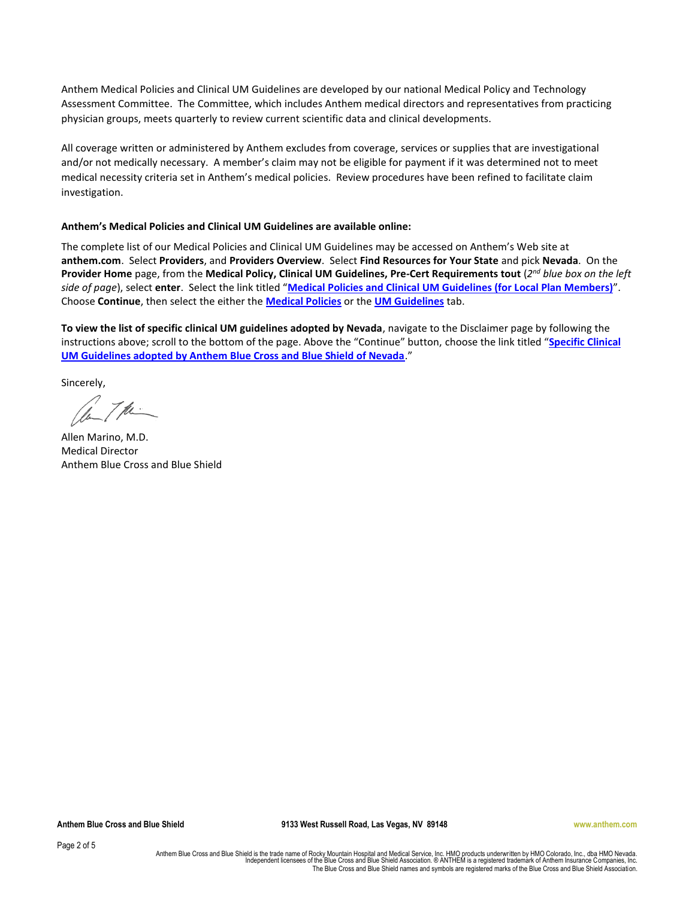Anthem Medical Policies and Clinical UM Guidelines are developed by our national Medical Policy and Technology Assessment Committee. The Committee, which includes Anthem medical directors and representatives from practicing physician groups, meets quarterly to review current scientific data and clinical developments.

All coverage written or administered by Anthem excludes from coverage, services or supplies that are investigational and/or not medically necessary. A member's claim may not be eligible for payment if it was determined not to meet medical necessity criteria set in Anthem's medical policies. Review procedures have been refined to facilitate claim investigation.

# **Anthem's Medical Policies and Clinical UM Guidelines are available online:**

The complete list of our Medical Policies and Clinical UM Guidelines may be accessed on Anthem's Web site at **anthem.com**.Select **Providers**, and **Providers Overview**. Select **Find Resources for Your State** and pick **Nevada**. On the Provider Home page, from the Medical Policy, Clinical UM Guidelines, Pre-Cert Requirements tout (2<sup>nd</sup> blue box on the left *side of page*), select **enter**. Select the link titled "**[Medical Policies and Clinical UM Guidelines \(for Local Plan Members\)](http://www.anthem.com/wps/portal/ahpprovider?content_path=provider/nv/f4/s3/t0/pw_002265.htm&state=nv&rootLevel=0&label=Anthem%20Medical%20Policies%20and%20Clinical%20UM%20Guidelines&state=nv)**". Choose **Continue**, then select the either the **[Medical Policies](https://www.anthem.com/wps/portal/ahpculdesac?content_path=medicalpolicies/noapplication/f2/s0/t0/pw_ad069675.htm&na=onlinepolicies&rootLevel=1&label=Medical%20Policies)** or the **[UM Guidelines](https://www.anthem.com/wps/portal/ahpculdesac?content_path=medicalpolicies/noapplication/f3/s0/t0/pw_ad081131.htm&na=onlinepolicies&rootLevel=2&label=UM%20Guidelines)** tab.

**To view the list of specific clinical UM guidelines adopted by Nevada**, navigate to the Disclaimer page by following the instructions above; scroll to the bottom of the page. Above the "Continue" button, choose the link titled "**[Specific Clinical](http://www.anthem.com/provider/nv/f0/s0/t0/pw_ad082238.pdf?refer=ahpprovider&state=nv)  [UM Guidelines adopted by Anthem Blue Cross and Blue Shield of Nevada](http://www.anthem.com/provider/nv/f0/s0/t0/pw_ad082238.pdf?refer=ahpprovider&state=nv)**."

Sincerely,

1. The

Allen Marino, M.D. Medical Director Anthem Blue Cross and Blue Shield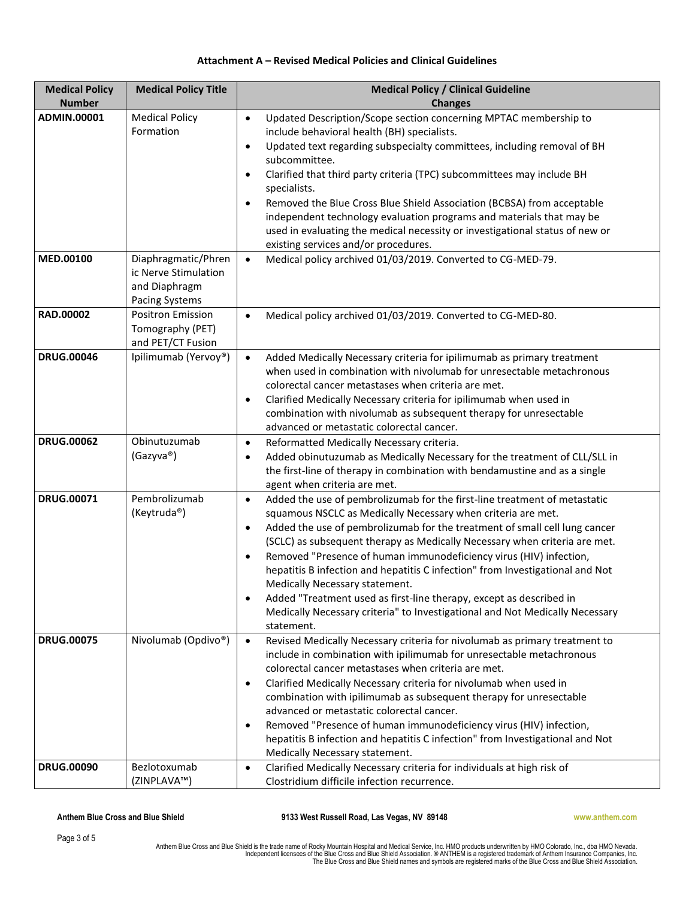# **Attachment A – Revised Medical Policies and Clinical Guidelines**

| <b>Medical Policy</b>    | <b>Medical Policy Title</b>                                       | <b>Medical Policy / Clinical Guideline</b>                                                                                                                                                                                                                                                                                                                                                                                                                                                                                                                                                                                                                                                                      |
|--------------------------|-------------------------------------------------------------------|-----------------------------------------------------------------------------------------------------------------------------------------------------------------------------------------------------------------------------------------------------------------------------------------------------------------------------------------------------------------------------------------------------------------------------------------------------------------------------------------------------------------------------------------------------------------------------------------------------------------------------------------------------------------------------------------------------------------|
| <b>Number</b>            |                                                                   | <b>Changes</b>                                                                                                                                                                                                                                                                                                                                                                                                                                                                                                                                                                                                                                                                                                  |
| ADMIN.00001<br>MED.00100 | <b>Medical Policy</b><br>Formation<br>Diaphragmatic/Phren         | Updated Description/Scope section concerning MPTAC membership to<br>$\bullet$<br>include behavioral health (BH) specialists.<br>Updated text regarding subspecialty committees, including removal of BH<br>$\bullet$<br>subcommittee.<br>Clarified that third party criteria (TPC) subcommittees may include BH<br>$\bullet$<br>specialists.<br>Removed the Blue Cross Blue Shield Association (BCBSA) from acceptable<br>$\bullet$<br>independent technology evaluation programs and materials that may be<br>used in evaluating the medical necessity or investigational status of new or<br>existing services and/or procedures.<br>Medical policy archived 01/03/2019. Converted to CG-MED-79.<br>$\bullet$ |
|                          | ic Nerve Stimulation<br>and Diaphragm<br>Pacing Systems           |                                                                                                                                                                                                                                                                                                                                                                                                                                                                                                                                                                                                                                                                                                                 |
| RAD.00002                | <b>Positron Emission</b><br>Tomography (PET)<br>and PET/CT Fusion | Medical policy archived 01/03/2019. Converted to CG-MED-80.<br>$\bullet$                                                                                                                                                                                                                                                                                                                                                                                                                                                                                                                                                                                                                                        |
| <b>DRUG.00046</b>        | Ipilimumab (Yervoy®)                                              | Added Medically Necessary criteria for ipilimumab as primary treatment<br>$\bullet$<br>when used in combination with nivolumab for unresectable metachronous<br>colorectal cancer metastases when criteria are met.<br>Clarified Medically Necessary criteria for ipilimumab when used in<br>$\bullet$<br>combination with nivolumab as subsequent therapy for unresectable<br>advanced or metastatic colorectal cancer.                                                                                                                                                                                                                                                                                        |
| <b>DRUG.00062</b>        | Obinutuzumab<br>(Gazyva®)                                         | Reformatted Medically Necessary criteria.<br>$\bullet$<br>Added obinutuzumab as Medically Necessary for the treatment of CLL/SLL in<br>$\bullet$<br>the first-line of therapy in combination with bendamustine and as a single<br>agent when criteria are met.                                                                                                                                                                                                                                                                                                                                                                                                                                                  |
| <b>DRUG.00071</b>        | Pembrolizumab<br>(Keytruda®)                                      | Added the use of pembrolizumab for the first-line treatment of metastatic<br>$\bullet$<br>squamous NSCLC as Medically Necessary when criteria are met.<br>Added the use of pembrolizumab for the treatment of small cell lung cancer<br>$\bullet$<br>(SCLC) as subsequent therapy as Medically Necessary when criteria are met.<br>Removed "Presence of human immunodeficiency virus (HIV) infection,<br>$\bullet$<br>hepatitis B infection and hepatitis C infection" from Investigational and Not<br>Medically Necessary statement.<br>Added "Treatment used as first-line therapy, except as described in<br>Medically Necessary criteria" to Investigational and Not Medically Necessary<br>statement.      |
| <b>DRUG.00075</b>        | Nivolumab (Opdivo®)                                               | Revised Medically Necessary criteria for nivolumab as primary treatment to<br>$\bullet$<br>include in combination with ipilimumab for unresectable metachronous<br>colorectal cancer metastases when criteria are met.<br>Clarified Medically Necessary criteria for nivolumab when used in<br>$\bullet$<br>combination with ipilimumab as subsequent therapy for unresectable<br>advanced or metastatic colorectal cancer.<br>Removed "Presence of human immunodeficiency virus (HIV) infection,<br>$\bullet$<br>hepatitis B infection and hepatitis C infection" from Investigational and Not<br>Medically Necessary statement.                                                                               |
| <b>DRUG.00090</b>        | Bezlotoxumab<br>(ZINPLAVA™)                                       | Clarified Medically Necessary criteria for individuals at high risk of<br>$\bullet$<br>Clostridium difficile infection recurrence.                                                                                                                                                                                                                                                                                                                                                                                                                                                                                                                                                                              |

**Anthem Blue Cross and Blue Shield 9133 West Russell Road, Las Vegas, NV 89148 www.anthem.com**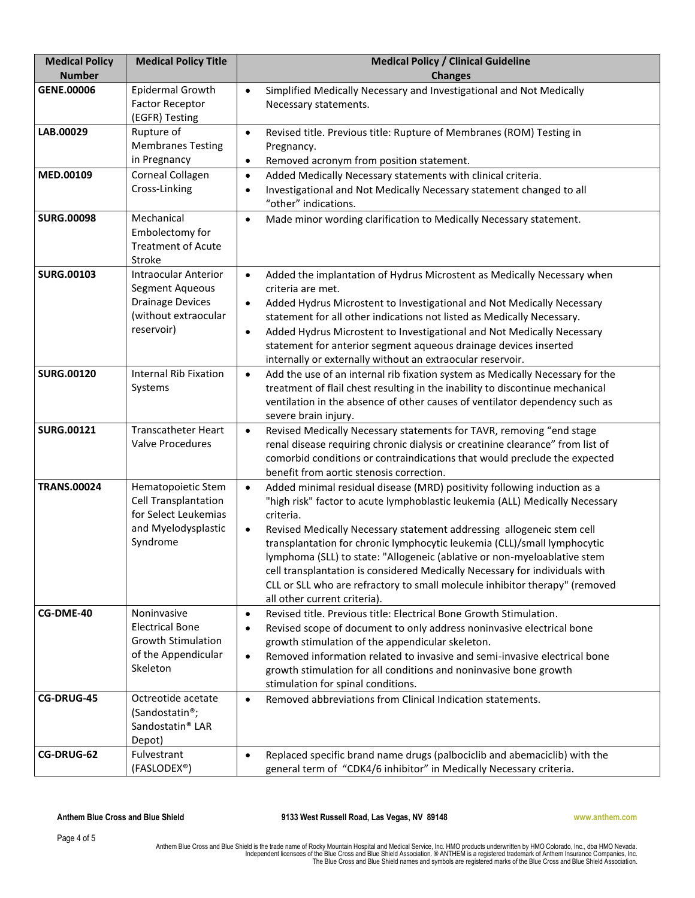| <b>Medical Policy</b><br><b>Number</b> | <b>Medical Policy Title</b>                                                                                     | <b>Medical Policy / Clinical Guideline</b><br><b>Changes</b>                                                                                                                                                                                                                                                                                                                                                                                                                                                                                                                                                                   |
|----------------------------------------|-----------------------------------------------------------------------------------------------------------------|--------------------------------------------------------------------------------------------------------------------------------------------------------------------------------------------------------------------------------------------------------------------------------------------------------------------------------------------------------------------------------------------------------------------------------------------------------------------------------------------------------------------------------------------------------------------------------------------------------------------------------|
| GENE.00006                             | Epidermal Growth<br><b>Factor Receptor</b><br>(EGFR) Testing                                                    | Simplified Medically Necessary and Investigational and Not Medically<br>$\bullet$<br>Necessary statements.                                                                                                                                                                                                                                                                                                                                                                                                                                                                                                                     |
| LAB.00029                              | Rupture of<br><b>Membranes Testing</b><br>in Pregnancy                                                          | Revised title. Previous title: Rupture of Membranes (ROM) Testing in<br>$\bullet$<br>Pregnancy.<br>Removed acronym from position statement.<br>$\bullet$                                                                                                                                                                                                                                                                                                                                                                                                                                                                       |
| MED.00109                              | Corneal Collagen<br>Cross-Linking                                                                               | Added Medically Necessary statements with clinical criteria.<br>$\bullet$<br>Investigational and Not Medically Necessary statement changed to all<br>$\bullet$<br>"other" indications.                                                                                                                                                                                                                                                                                                                                                                                                                                         |
| <b>SURG.00098</b>                      | Mechanical<br>Embolectomy for<br><b>Treatment of Acute</b><br>Stroke                                            | Made minor wording clarification to Medically Necessary statement.<br>$\bullet$                                                                                                                                                                                                                                                                                                                                                                                                                                                                                                                                                |
| <b>SURG.00103</b>                      | <b>Intraocular Anterior</b><br>Segment Aqueous<br><b>Drainage Devices</b><br>(without extraocular<br>reservoir) | Added the implantation of Hydrus Microstent as Medically Necessary when<br>$\bullet$<br>criteria are met.<br>Added Hydrus Microstent to Investigational and Not Medically Necessary<br>$\bullet$<br>statement for all other indications not listed as Medically Necessary.<br>Added Hydrus Microstent to Investigational and Not Medically Necessary<br>$\bullet$<br>statement for anterior segment aqueous drainage devices inserted<br>internally or externally without an extraocular reservoir.                                                                                                                            |
| <b>SURG.00120</b>                      | <b>Internal Rib Fixation</b><br>Systems                                                                         | Add the use of an internal rib fixation system as Medically Necessary for the<br>$\bullet$<br>treatment of flail chest resulting in the inability to discontinue mechanical<br>ventilation in the absence of other causes of ventilator dependency such as<br>severe brain injury.                                                                                                                                                                                                                                                                                                                                             |
| <b>SURG.00121</b>                      | <b>Transcatheter Heart</b><br><b>Valve Procedures</b>                                                           | Revised Medically Necessary statements for TAVR, removing "end stage<br>$\bullet$<br>renal disease requiring chronic dialysis or creatinine clearance" from list of<br>comorbid conditions or contraindications that would preclude the expected<br>benefit from aortic stenosis correction.                                                                                                                                                                                                                                                                                                                                   |
| <b>TRANS.00024</b>                     | Hematopoietic Stem<br>Cell Transplantation<br>for Select Leukemias<br>and Myelodysplastic<br>Syndrome           | Added minimal residual disease (MRD) positivity following induction as a<br>$\bullet$<br>"high risk" factor to acute lymphoblastic leukemia (ALL) Medically Necessary<br>criteria.<br>Revised Medically Necessary statement addressing allogeneic stem cell<br>$\bullet$<br>transplantation for chronic lymphocytic leukemia (CLL)/small lymphocytic<br>lymphoma (SLL) to state: "Allogeneic (ablative or non-myeloablative stem<br>cell transplantation is considered Medically Necessary for individuals with<br>CLL or SLL who are refractory to small molecule inhibitor therapy" (removed<br>all other current criteria). |
| CG-DME-40                              | Noninvasive<br><b>Electrical Bone</b><br><b>Growth Stimulation</b><br>of the Appendicular<br>Skeleton           | Revised title. Previous title: Electrical Bone Growth Stimulation.<br>$\bullet$<br>Revised scope of document to only address noninvasive electrical bone<br>$\bullet$<br>growth stimulation of the appendicular skeleton.<br>Removed information related to invasive and semi-invasive electrical bone<br>$\bullet$<br>growth stimulation for all conditions and noninvasive bone growth<br>stimulation for spinal conditions.                                                                                                                                                                                                 |
| <b>CG-DRUG-45</b>                      | Octreotide acetate<br>(Sandostatin®;<br>Sandostatin <sup>®</sup> LAR<br>Depot)                                  | Removed abbreviations from Clinical Indication statements.<br>$\bullet$                                                                                                                                                                                                                                                                                                                                                                                                                                                                                                                                                        |
| CG-DRUG-62                             | Fulvestrant<br>(FASLODEX®)                                                                                      | Replaced specific brand name drugs (palbociclib and abemaciclib) with the<br>$\bullet$<br>general term of "CDK4/6 inhibitor" in Medically Necessary criteria.                                                                                                                                                                                                                                                                                                                                                                                                                                                                  |

**Anthem Blue Cross and Blue Shield 9133 West Russell Road, Las Vegas, NV 89148 www.anthem.com**

Anthem Blue Cross and Blue Shield is the trade name of Rocky Mountain Hospital and Medical Service, Inc. HMO products underwritten by HMO Colorado, Inc., dba HMO Nevada.<br>Independent licensees of the Blue Cross and Blue Shi